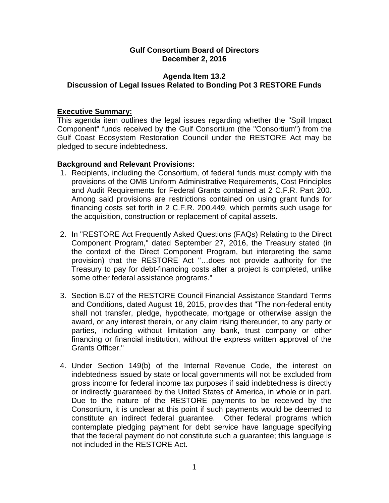### **Gulf Consortium Board of Directors December 2, 2016**

# **Agenda Item 13.2 Discussion of Legal Issues Related to Bonding Pot 3 RESTORE Funds**

# **Executive Summary:**

This agenda item outlines the legal issues regarding whether the "Spill Impact Component" funds received by the Gulf Consortium (the "Consortium") from the Gulf Coast Ecosystem Restoration Council under the RESTORE Act may be pledged to secure indebtedness.

## **Background and Relevant Provisions:**

- 1. Recipients, including the Consortium, of federal funds must comply with the provisions of the OMB Uniform Administrative Requirements, Cost Principles and Audit Requirements for Federal Grants contained at 2 C.F.R. Part 200. Among said provisions are restrictions contained on using grant funds for financing costs set forth in 2 C.F.R. 200.449, which permits such usage for the acquisition, construction or replacement of capital assets.
- 2. In "RESTORE Act Frequently Asked Questions (FAQs) Relating to the Direct Component Program," dated September 27, 2016, the Treasury stated (in the context of the Direct Component Program, but interpreting the same provision) that the RESTORE Act "…does not provide authority for the Treasury to pay for debt-financing costs after a project is completed, unlike some other federal assistance programs."
- 3. Section B.07 of the RESTORE Council Financial Assistance Standard Terms and Conditions, dated August 18, 2015, provides that "The non-federal entity shall not transfer, pledge, hypothecate, mortgage or otherwise assign the award, or any interest therein, or any claim rising thereunder, to any party or parties, including without limitation any bank, trust company or other financing or financial institution, without the express written approval of the Grants Officer."
- 4. Under Section 149(b) of the Internal Revenue Code, the interest on indebtedness issued by state or local governments will not be excluded from gross income for federal income tax purposes if said indebtedness is directly or indirectly guaranteed by the United States of America, in whole or in part. Due to the nature of the RESTORE payments to be received by the Consortium, it is unclear at this point if such payments would be deemed to constitute an indirect federal guarantee. Other federal programs which contemplate pledging payment for debt service have language specifying that the federal payment do not constitute such a guarantee; this language is not included in the RESTORE Act.